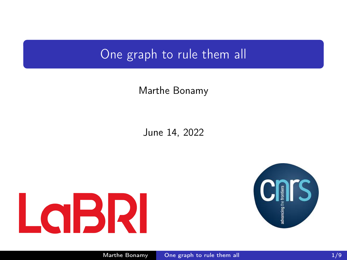### <span id="page-0-0"></span>One graph to rule them all

### Marthe Bonamy

June 14, 2022



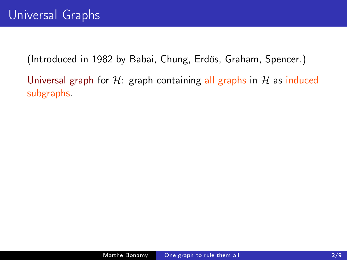Universal graph for  $H$ : graph containing all graphs in  $H$  as induced subgraphs.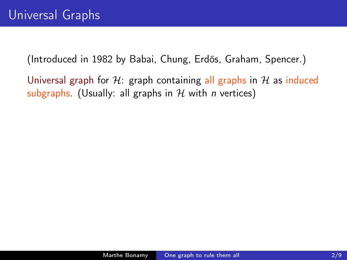Universal graph for H: graph containing all graphs in H as induced subgraphs. (Usually: all graphs in  $H$  with *n* vertices)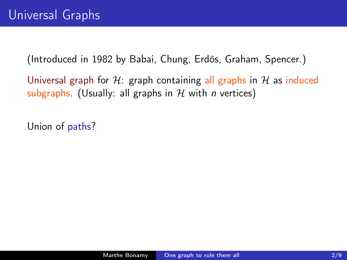Universal graph for H: graph containing all graphs in H as induced subgraphs. (Usually: all graphs in  $H$  with *n* vertices)

Union of paths?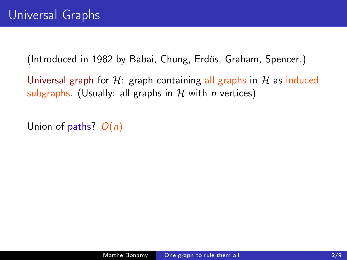Universal graph for H: graph containing all graphs in H as induced subgraphs. (Usually: all graphs in  $H$  with *n* vertices)

Union of paths?  $O(n)$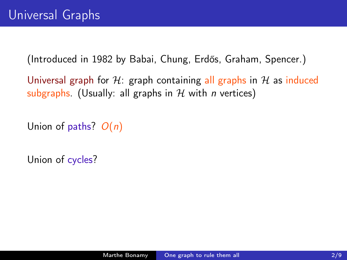Universal graph for H: graph containing all graphs in H as induced subgraphs. (Usually: all graphs in  $H$  with *n* vertices)

Union of paths?  $O(n)$ 

Union of cycles?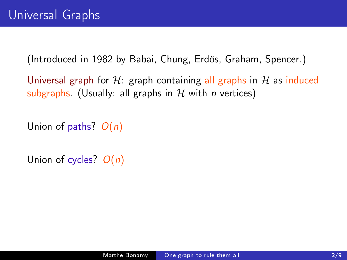Universal graph for  $H$ : graph containing all graphs in  $H$  as induced subgraphs. (Usually: all graphs in  $H$  with *n* vertices)

Union of paths?  $O(n)$ 

Union of cycles?  $O(n)$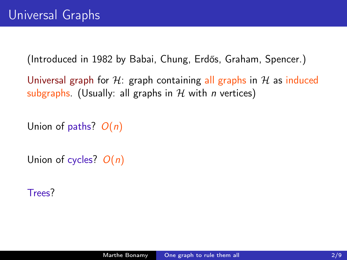Universal graph for H: graph containing all graphs in H as induced subgraphs. (Usually: all graphs in  $H$  with *n* vertices)

Union of paths?  $O(n)$ 

Union of cycles?  $O(n)$ 

Trees?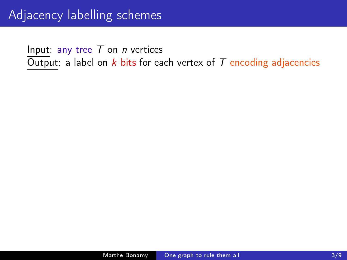Input: any tree  $T$  on *n* vertices Output: a label on  $k$  bits for each vertex of  $T$  encoding adjacencies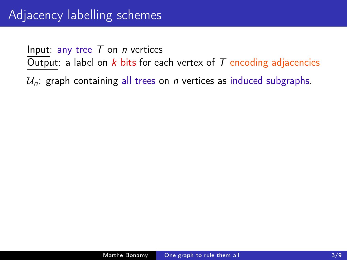## Adjacency labelling schemes

Input: any tree  $T$  on *n* vertices Output: a label on  $k$  bits for each vertex of  $T$  encoding adjacencies

 $U_n$ : graph containing all trees on *n* vertices as induced subgraphs.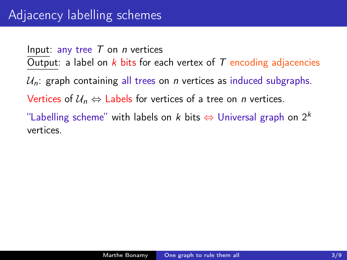Input: any tree  $T$  on *n* vertices Output: a label on  $k$  bits for each vertex of  $T$  encoding adjacencies  $U_n$ : graph containing all trees on *n* vertices as induced subgraphs. Vertices of  $\mathcal{U}_n \Leftrightarrow$  Labels for vertices of a tree on *n* vertices. "Labelling scheme" with labels on k bits  $\Leftrightarrow$  Universal graph on  $2^k$ vertices.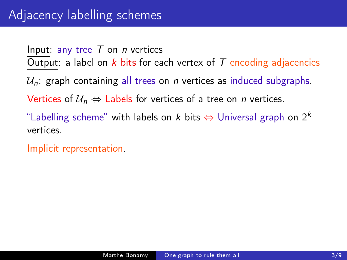Input: any tree  $T$  on *n* vertices Output: a label on  $k$  bits for each vertex of  $T$  encoding adjacencies  $U_n$ : graph containing all trees on *n* vertices as induced subgraphs. Vertices of  $\mathcal{U}_n \Leftrightarrow$  Labels for vertices of a tree on *n* vertices. "Labelling scheme" with labels on k bits  $\Leftrightarrow$  Universal graph on  $2^k$ vertices.

Implicit representation.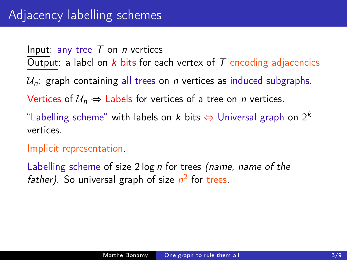Input: any tree  $T$  on *n* vertices Output: a label on  $k$  bits for each vertex of  $T$  encoding adjacencies  $U_n$ : graph containing all trees on *n* vertices as induced subgraphs. Vertices of  $\mathcal{U}_n \Leftrightarrow$  Labels for vertices of a tree on *n* vertices. "Labelling scheme" with labels on k bits  $\Leftrightarrow$  Universal graph on  $2^k$ vertices.

Implicit representation.

Labelling scheme of size 2 log n for trees *(name, name of the father)*. So universal graph of size  $n^2$  for trees.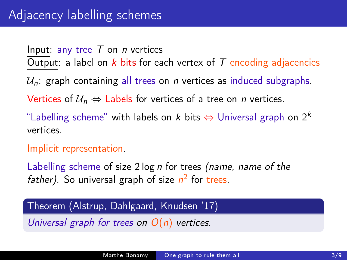Input: any tree  $T$  on *n* vertices Output: a label on  $k$  bits for each vertex of  $T$  encoding adjacencies  $U_n$ : graph containing all trees on *n* vertices as induced subgraphs. Vertices of  $\mathcal{U}_n \Leftrightarrow$  Labels for vertices of a tree on *n* vertices. "Labelling scheme" with labels on k bits  $\Leftrightarrow$  Universal graph on 2<sup>k</sup> vertices.

Implicit representation.

Labelling scheme of size 2 log n for trees *(name, name of the father)*. So universal graph of size  $n^2$  for trees.

### Theorem (Alstrup, Dahlgaard, Knudsen '17)

Universal graph for trees on  $O(n)$  vertices.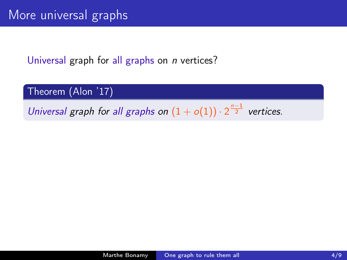### Theorem (Alon '17)

Universal graph for all graphs on  $(1+o(1)) \cdot 2^{\frac{n-1}{2}}$  vertices.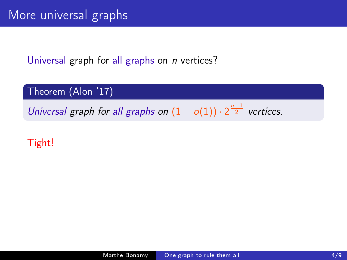### Theorem (Alon '17)

Universal graph for all graphs on  $(1+o(1)) \cdot 2^{\frac{n-1}{2}}$  vertices.

Tight!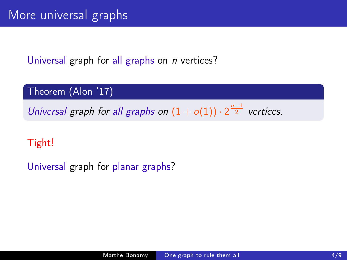### Theorem (Alon '17)

Universal graph for all graphs on  $(1+o(1)) \cdot 2^{\frac{n-1}{2}}$  vertices.

Tight!

Universal graph for planar graphs?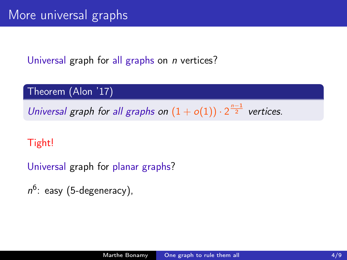Theorem (Alon '17)

Universal graph for all graphs on  $(1+o(1)) \cdot 2^{\frac{n-1}{2}}$  vertices.

Tight!

Universal graph for planar graphs?

 $n^6$ : easy (5-degeneracy),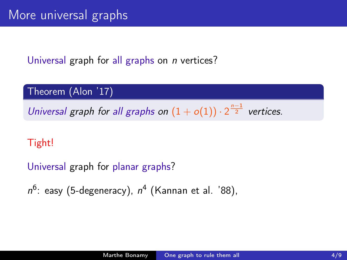Theorem (Alon '17)

Universal graph for all graphs on  $(1+o(1)) \cdot 2^{\frac{n-1}{2}}$  vertices.

Tight!

Universal graph for planar graphs?

 $n^6$ : easy (5-degeneracy),  $n^4$  (Kannan et al. '88),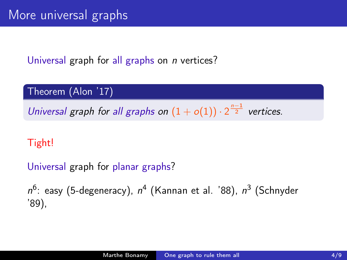Theorem (Alon '17)

Universal graph for all graphs on  $(1+o(1)) \cdot 2^{\frac{n-1}{2}}$  vertices.

Tight!

Universal graph for planar graphs?

 $n^6$ : easy (5-degeneracy),  $n^4$  (Kannan et al. '88),  $n^3$  (Schnyder '89),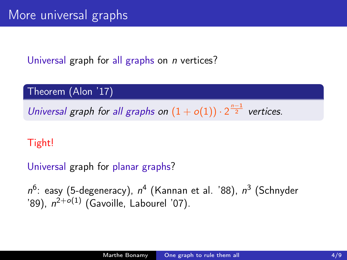Theorem (Alon '17)

Universal graph for all graphs on  $(1+o(1)) \cdot 2^{\frac{n-1}{2}}$  vertices.

Tight!

Universal graph for planar graphs?

 $n^6$ : easy (5-degeneracy),  $n^4$  (Kannan et al. '88),  $n^3$  (Schnyder '89),  $n^{2+o(1)}$  (Gavoille, Labourel '07).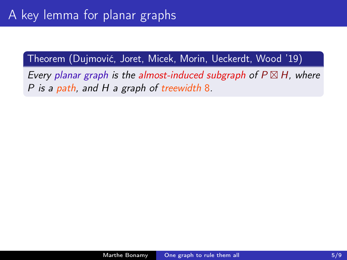Every planar graph is the almost-induced subgraph of  $P \boxtimes H$ , where P is a path, and H a graph of treewidth 8.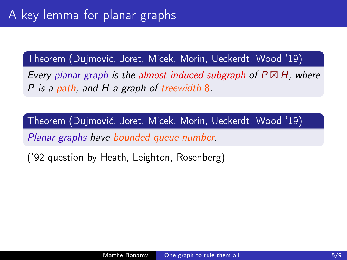Every planar graph is the almost-induced subgraph of  $P \boxtimes H$ , where P is a path, and H a graph of treewidth 8.

Theorem (Dujmović, Joret, Micek, Morin, Ueckerdt, Wood '19)

Planar graphs have bounded queue number.

('92 question by Heath, Leighton, Rosenberg)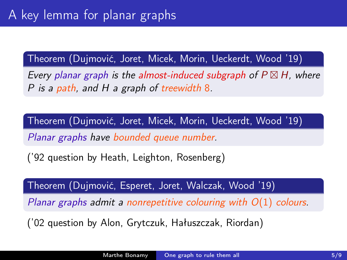Every planar graph is the almost-induced subgraph of  $P \boxtimes H$ , where P is a path, and H a graph of treewidth 8.

Theorem (Dujmović, Joret, Micek, Morin, Ueckerdt, Wood '19)

Planar graphs have bounded queue number.

('92 question by Heath, Leighton, Rosenberg)

Theorem (Dujmović, Esperet, Joret, Walczak, Wood '19)

Planar graphs admit a nonrepetitive colouring with  $O(1)$  colours.

('02 question by Alon, Grytczuk, Hałuszczak, Riordan)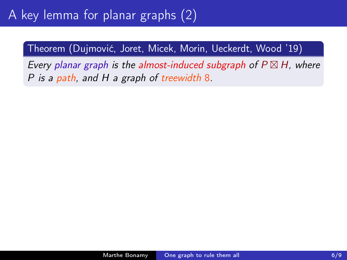Every planar graph is the almost-induced subgraph of  $P \boxtimes H$ , where P is a path, and H a graph of treewidth 8.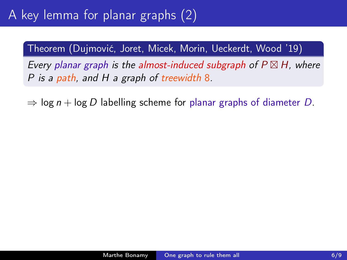## A key lemma for planar graphs (2)

### Theorem (Dujmović, Joret, Micek, Morin, Ueckerdt, Wood '19)

Every planar graph is the almost-induced subgraph of  $P \boxtimes H$ , where P is a path, and H a graph of treewidth 8.

 $\Rightarrow$  log n + log D labelling scheme for planar graphs of diameter D.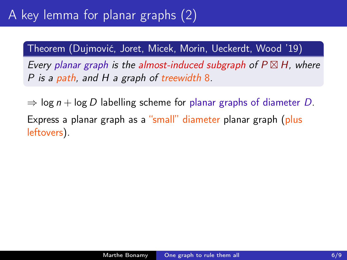Every planar graph is the almost-induced subgraph of  $P \boxtimes H$ , where P is a path, and H a graph of treewidth 8.

 $\Rightarrow$  log n + log D labelling scheme for planar graphs of diameter D. Express a planar graph as a "small" diameter planar graph (plus leftovers).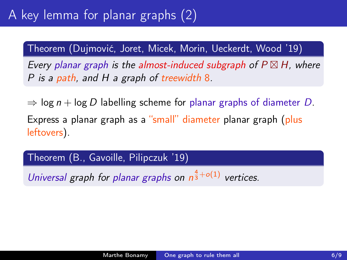Every planar graph is the almost-induced subgraph of  $P \boxtimes H$ , where P is a path, and H a graph of treewidth 8.

 $\Rightarrow$  log n + log D labelling scheme for planar graphs of diameter D. Express a planar graph as a "small" diameter planar graph (plus leftovers).

Theorem (B., Gavoille, Pilipczuk '19)

Universal graph for planar graphs on  $n^{\frac{4}{3}+o(1)}$  vertices.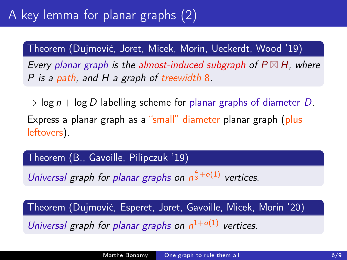Every planar graph is the almost-induced subgraph of  $P \boxtimes H$ , where P is a path, and H a graph of treewidth 8.

 $\Rightarrow$  log n + log D labelling scheme for planar graphs of diameter D. Express a planar graph as a "small" diameter planar graph (plus leftovers).

Theorem (B., Gavoille, Pilipczuk '19)

Universal graph for planar graphs on  $n^{\frac{4}{3}+o(1)}$  vertices.

Theorem (Dujmović, Esperet, Joret, Gavoille, Micek, Morin '20)

Universal graph for planar graphs on  $n^{1+o(1)}$  vertices.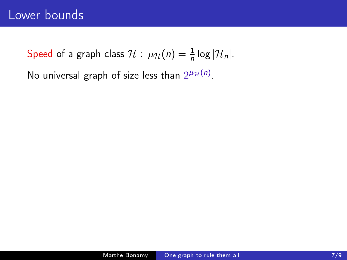No universal graph of size less than  $2^{\mu_{\mathcal{H}}(n)}$ .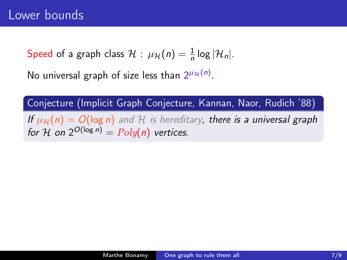No universal graph of size less than  $2^{\mu_{\mathcal{H}}(n)}$ .

Conjecture (Implicit Graph Conjecture, Kannan, Naor, Rudich '88)

If  $\mu_{\mathcal{H}}(n) = O(\log n)$  and H is hereditary, there is a universal graph for H on  $2^{O(\log n)} = Poly(n)$  vertices.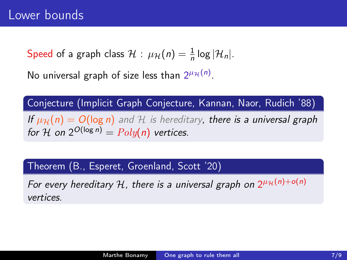No universal graph of size less than  $2^{\mu_{\mathcal{H}}(n)}$ .

Conjecture (Implicit Graph Conjecture, Kannan, Naor, Rudich '88)

If  $\mu_{\mathcal{H}}(n) = O(\log n)$  and H is hereditary, there is a universal graph for H on  $2^{O(\log n)} = Poly(n)$  vertices.

Theorem (B., Esperet, Groenland, Scott '20)

For every hereditary H, there is a universal graph on  $2^{\mu_{\mathcal{H}}(n)+o(n)}$ vertices.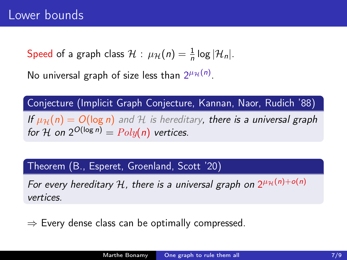No universal graph of size less than  $2^{\mu_{\mathcal{H}}(n)}$ .

Conjecture (Implicit Graph Conjecture, Kannan, Naor, Rudich '88)

If  $\mu_{\mathcal{H}}(n) = O(\log n)$  and H is hereditary, there is a universal graph for H on  $2^{O(\log n)} = Poly(n)$  vertices.

Theorem (B., Esperet, Groenland, Scott '20)

For every hereditary H, there is a universal graph on  $2^{\mu_{\mathcal{H}}(n)+o(n)}$ vertices.

 $\Rightarrow$  Every dense class can be optimally compressed.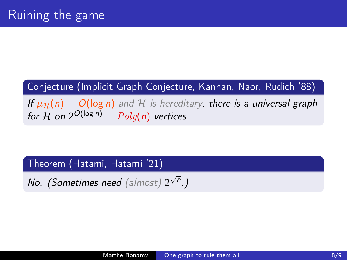### Conjecture (Implicit Graph Conjecture, Kannan, Naor, Rudich '88)

If  $\mu_{\mathcal{H}}(n) = O(\log n)$  and H is hereditary, there is a universal graph for H on  $2^{O(\log n)} = Poly(n)$  vertices.

Theorem (Hatami, Hatami '21)

No. (Sometimes need (almost)  $2^{\sqrt{n}}$ .)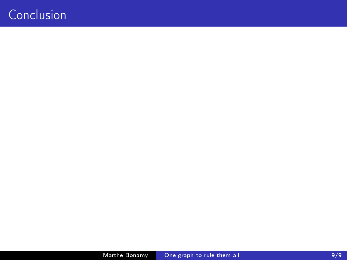## Conclusion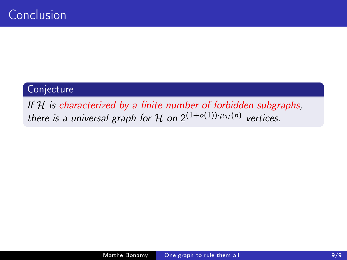### Conjecture

If  $H$  is characterized by a finite number of forbidden subgraphs, there is a universal graph for H on  $2^{(1+o(1))\cdot \mu_{\mathcal{H}}(n)}$  vertices.